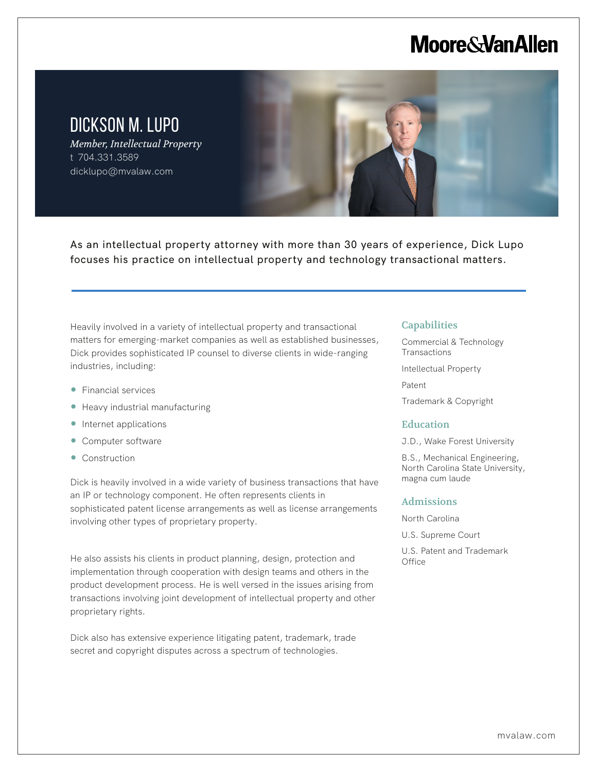## **Moore & Van Allen**

DICKSON M. LUPO *Member, Intellectual Property*

t 704.331.3589 dicklupo@mvalaw.com

As an intellectual property attorney with more than 30 years of experience, Dick Lupo focuses his practice on intellectual property and technology transactional matters.

Heavily involved in a variety of intellectual property and transactional matters for emerging-market companies as well as established businesses, Dick provides sophisticated IP counsel to diverse clients in wide-ranging industries, including:

● Financial services

L

- Heavy industrial manufacturing
- Internet applications
- Computer software
- Construction

Dick is heavily involved in a wide variety of business transactions that have an IP or technology component. He often represents clients in sophisticated patent license arrangements as well as license arrangements involving other types of proprietary property.

He also assists his clients in product planning, design, protection and implementation through cooperation with design teams and others in the product development process. He is well versed in the issues arising from transactions involving joint development of intellectual property and other proprietary rights.

Dick also has extensive experience litigating patent, trademark, trade secret and copyright disputes across a spectrum of technologies.

### **Capabilities**

Commercial & Technology **Transactions** 

Intellectual Property

Patent

Trademark & Copyright

#### Education

J.D., Wake Forest University

B.S., Mechanical Engineering, North Carolina State University, magna cum laude

#### Admissions

North Carolina

U.S. Supreme Court

U.S. Patent and Trademark **Office**